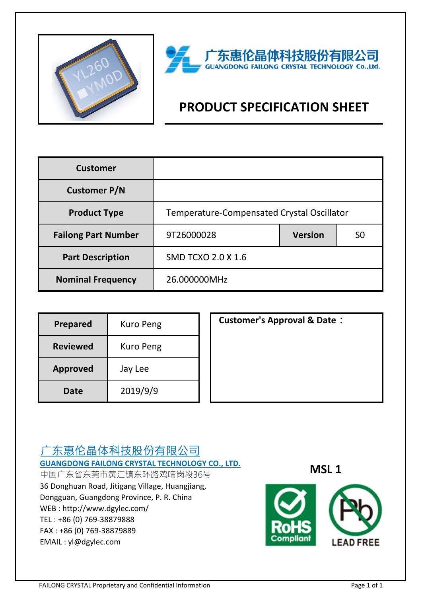



# **PRODUCT SPECIFICATION SHEET**

| <b>Customer</b>            |                                            |                |                |  |
|----------------------------|--------------------------------------------|----------------|----------------|--|
| <b>Customer P/N</b>        |                                            |                |                |  |
| <b>Product Type</b>        | Temperature-Compensated Crystal Oscillator |                |                |  |
| <b>Failong Part Number</b> | 9T26000028                                 | <b>Version</b> | S <sub>0</sub> |  |
| <b>Part Description</b>    | <b>SMD TCXO 2.0 X 1.6</b>                  |                |                |  |
| <b>Nominal Frequency</b>   | 26.000000MHz                               |                |                |  |

| <b>Prepared</b> | Kuro Peng |
|-----------------|-----------|
| <b>Reviewed</b> | Kuro Peng |
| <b>Approved</b> | Jay Lee   |
| Date            | 2019/9/9  |

**Customer's Approval & Date:** 

# 广东惠伦晶体科技股份有限公司 **GUANGDONG FAILONG CRYSTAL TECHNOLOGY CO., LTD.**

中国广东省东莞市黄江镇东环路鸡啼岗段36号 36 Donghuan Road, Jitigang Village, Huangjiang, Dongguan, Guangdong Province, P. R. China WEB : http://www.dgylec.com/ TEL : +86 (0) 769-38879888 FAX : +86 (0) 769-38879889 EMAIL : yl@dgylec.com

**MSL 1**

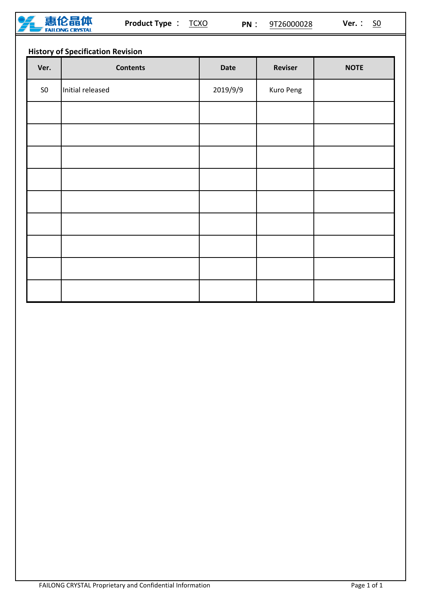

# **History of Specification Revision**

| Ver.       | <b>Contents</b>  | <b>Date</b> | <b>Reviser</b> | <b>NOTE</b> |
|------------|------------------|-------------|----------------|-------------|
| ${\sf S0}$ | Initial released | 2019/9/9    | Kuro Peng      |             |
|            |                  |             |                |             |
|            |                  |             |                |             |
|            |                  |             |                |             |
|            |                  |             |                |             |
|            |                  |             |                |             |
|            |                  |             |                |             |
|            |                  |             |                |             |
|            |                  |             |                |             |
|            |                  |             |                |             |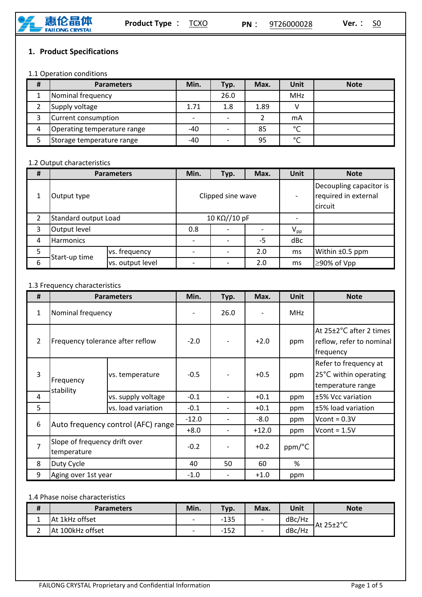

# **1. Product Specifications**

#### 1.1 Operation conditions

| # | <b>Parameters</b>           | Min.  | Typ. | Max. | Unit       | <b>Note</b> |
|---|-----------------------------|-------|------|------|------------|-------------|
|   | Nominal frequency           |       | 26.0 |      | <b>MHz</b> |             |
|   | Supply voltage              | 1.71  | 1.8  | 1.89 |            |             |
|   | Current consumption         |       |      |      | mA         |             |
| 4 | Operating temperature range | -40   |      | 85   | $\sim$     |             |
|   | Storage temperature range   | $-40$ |      | 95   | $\sim$     |             |

#### 1.2 Output characteristics

| # | <b>Parameters</b>    |                  | Min.              | Typ. | Max. | Unit                                                       | <b>Note</b>     |
|---|----------------------|------------------|-------------------|------|------|------------------------------------------------------------|-----------------|
| 1 | Output type          |                  | Clipped sine wave |      |      | Decoupling capacitor is<br>required in external<br>circuit |                 |
| 2 | Standard output Load |                  | 10 KΩ//10 pF      |      |      |                                                            |                 |
| 3 | Output level         |                  | 0.8               |      |      | $V_{\text{pp}}$                                            |                 |
| 4 | <b>Harmonics</b>     |                  |                   |      | $-5$ | dBc                                                        |                 |
| 5 | Start-up time<br>6   | vs. frequency    |                   |      | 2.0  | ms                                                         | Within ±0.5 ppm |
|   |                      | vs. output level |                   |      | 2.0  | ms                                                         | ≥90% of Vpp     |

#### 1.3 Frequency characteristics

| #              | <b>Parameters</b>                            |                                    | Min.    | Typ. | Max.    | <b>Unit</b> | <b>Note</b>                                                         |
|----------------|----------------------------------------------|------------------------------------|---------|------|---------|-------------|---------------------------------------------------------------------|
| $\mathbf{1}$   | Nominal frequency                            |                                    |         | 26.0 |         | <b>MHz</b>  |                                                                     |
| $\overline{2}$ | Frequency tolerance after reflow             |                                    | $-2.0$  |      | $+2.0$  | ppm         | At 25±2°C after 2 times<br>reflow, refer to nominal<br>frequency    |
| 3              | Frequency<br>stability                       | vs. temperature                    | $-0.5$  |      | $+0.5$  | ppm         | Refer to frequency at<br>25°C within operating<br>temperature range |
| 4              |                                              | vs. supply voltage                 | $-0.1$  |      | $+0.1$  | ppm         | ±5% Vcc variation                                                   |
| 5              |                                              | vs. load variation                 | $-0.1$  |      | $+0.1$  | ppm         | ±5% load variation                                                  |
| 6              |                                              | Auto frequency control (AFC) range | $-12.0$ |      | $-8.0$  | ppm         | Vcont = $0.3V$                                                      |
|                |                                              |                                    | $+8.0$  |      | $+12.0$ | ppm         | Vcont = $1.5V$                                                      |
| $\overline{7}$ | Slope of frequency drift over<br>temperature |                                    | $-0.2$  |      | $+0.2$  | ppm/°C      |                                                                     |
| 8              | Duty Cycle                                   |                                    | 40      | 50   | 60      | %           |                                                                     |
| 9              | Aging over 1st year                          |                                    | $-1.0$  |      | $+1.0$  | ppm         |                                                                     |

#### 1.4 Phase noise characteristics

| #  | <b>Parameters</b> | Min.                     | Typ.   | Max.                     | <b>Unit</b> | <b>Note</b> |
|----|-------------------|--------------------------|--------|--------------------------|-------------|-------------|
| -- | At 1kHz offset    | $\overline{\phantom{0}}$ | $-135$ | $\overline{\phantom{a}}$ | dBc/Hz      | At 25±2°C   |
|    | At 100kHz offset  | $\overline{\phantom{0}}$ | $-152$ | $\overline{\phantom{0}}$ | dBc/Hz      |             |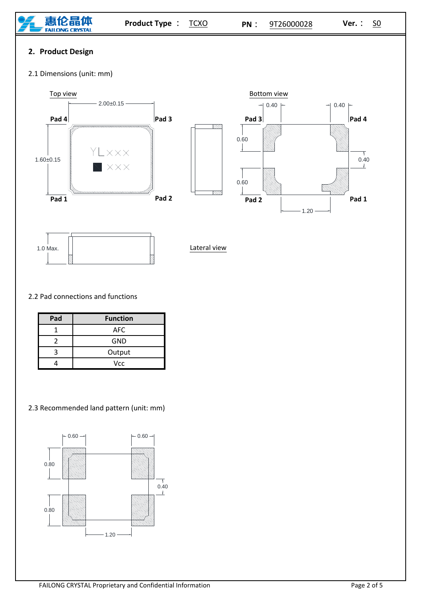

# **2. Product Design**

2.1 Dimensions (unit: mm)





Lateral view

### 2.2 Pad connections and functions

| Pad | <b>Function</b> |
|-----|-----------------|
|     | <b>AFC</b>      |
| 7   | <b>GND</b>      |
|     | Output          |
|     | Vcc             |

## 2.3 Recommended land pattern (unit: mm)

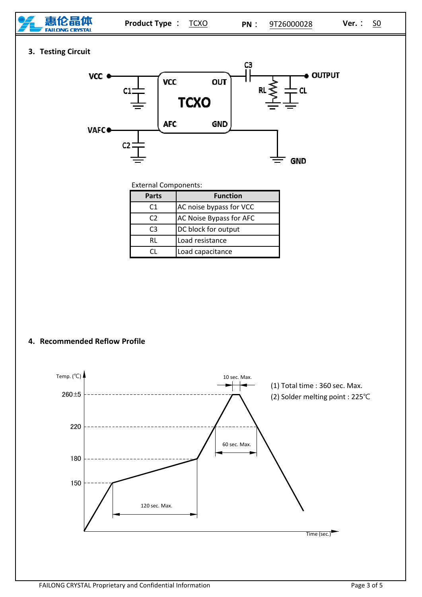

**3. Testing Circuit**



External Components:

| <b>Parts</b> | <b>Function</b>         |  |  |
|--------------|-------------------------|--|--|
| C1           | AC noise bypass for VCC |  |  |
| C2           | AC Noise Bypass for AFC |  |  |
| CЗ           | DC block for output     |  |  |
| RI           | Load resistance         |  |  |
|              | Load capacitance        |  |  |

**4. Recommended Reflow Profile**

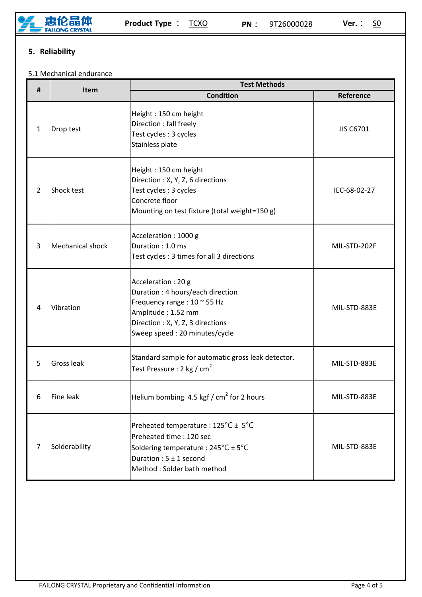

# **5. Reliability**

#### 5.1 Mechanical endurance

| #              | Item                    | <b>Test Methods</b>                                                                                                                                                                 |              |  |  |  |
|----------------|-------------------------|-------------------------------------------------------------------------------------------------------------------------------------------------------------------------------------|--------------|--|--|--|
|                |                         | <b>Condition</b>                                                                                                                                                                    | Reference    |  |  |  |
| $\mathbf{1}$   | Drop test               | Height: 150 cm height<br>Direction : fall freely<br>Test cycles : 3 cycles<br>Stainless plate                                                                                       | JIS C6701    |  |  |  |
| $\overline{2}$ | Shock test              | Height: 150 cm height<br>Direction: X, Y, Z, 6 directions<br>Test cycles : 3 cycles<br>Concrete floor<br>Mounting on test fixture (total weight=150 g)                              | IEC-68-02-27 |  |  |  |
| $\overline{3}$ | <b>Mechanical shock</b> | Acceleration: 1000 g<br>Duration: 1.0 ms<br>Test cycles: 3 times for all 3 directions                                                                                               | MIL-STD-202F |  |  |  |
| 4              | Vibration               | Acceleration: 20 g<br>Duration: 4 hours/each direction<br>Frequency range: 10 ~ 55 Hz<br>Amplitude: 1.52 mm<br>Direction : X, Y, Z, 3 directions<br>Sweep speed: 20 minutes/cycle   | MIL-STD-883E |  |  |  |
| 5              | Gross leak              | Standard sample for automatic gross leak detector.<br>Test Pressure : 2 kg / cm <sup>2</sup>                                                                                        | MIL-STD-883E |  |  |  |
| 6              | <b>Fine leak</b>        | Helium bombing 4.5 kgf / $cm2$ for 2 hours                                                                                                                                          | MIL-STD-883E |  |  |  |
| $\overline{7}$ | Solderability           | Preheated temperature: 125°C ± 5°C<br>Preheated time: 120 sec<br>Soldering temperature : $245^{\circ}C \pm 5^{\circ}C$<br>Duration : $5 \pm 1$ second<br>Method: Solder bath method | MIL-STD-883E |  |  |  |